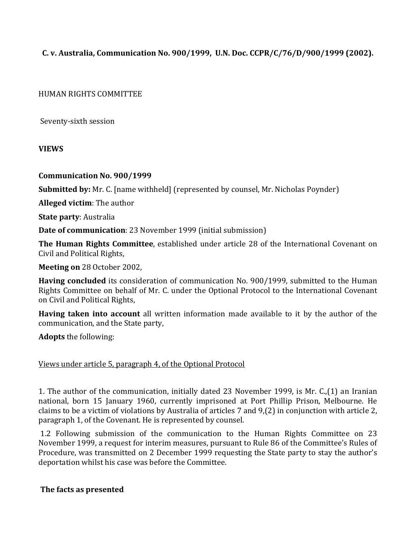# **C. v. Australia, Communication No. 900/1999, U.N. Doc. CCPR/C/76/D/900/1999 (2002).**

#### HUMAN RIGHTS COMMITTEE

Seventy-sixth session

#### **VIEWS**

#### **Communication No. 900/1999**

**Submitted by:** Mr. C. [name withheld] (represented by counsel, Mr. Nicholas Poynder)

**Alleged victim:** The author

**State party: Australia** 

**Date of communication**: 23 November 1999 (initial submission)

**The Human Rights Committee**, established under article 28 of the International Covenant on Civil and Political Rights,

**Meeting on** 28 October 2002,

**Having concluded** its consideration of communication No. 900/1999, submitted to the Human Rights Committee on behalf of Mr. C. under the Optional Protocol to the International Covenant on Civil and Political Rights,

**Having taken into account** all written information made available to it by the author of the communication, and the State party,

**Adopts** the following:

#### Views under article 5, paragraph 4, of the Optional Protocol

1. The author of the communication, initially dated 23 November 1999, is Mr.  $C_{1}(1)$  an Iranian national, born 15 January 1960, currently imprisoned at Port Phillip Prison, Melbourne. He claims to be a victim of violations by Australia of articles  $7$  and  $9(2)$  in conjunction with article  $2$ , paragraph 1, of the Covenant. He is represented by counsel.

1.2 Following submission of the communication to the Human Rights Committee on 23 November 1999, a request for interim measures, pursuant to Rule 86 of the Committee's Rules of Procedure, was transmitted on 2 December 1999 requesting the State party to stay the author's deportation whilst his case was before the Committee.

#### **The facts as presented**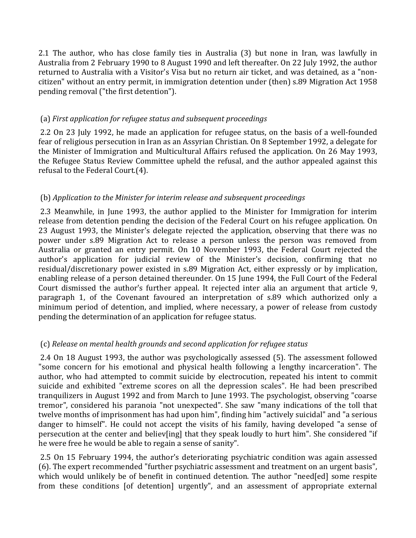2.1 The author, who has close family ties in Australia (3) but none in Iran, was lawfully in Australia from 2 February 1990 to 8 August 1990 and left thereafter. On 22 July 1992, the author returned to Australia with a Visitor's Visa but no return air ticket, and was detained, as a "noncitizen" without an entry permit, in immigration detention under (then)  $s.89$  Migration Act 1958 pending removal ("the first detention").

### (a) First application for refugee status and subsequent proceedings

2.2 On 23 July 1992, he made an application for refugee status, on the basis of a well-founded fear of religious persecution in Iran as an Assyrian Christian. On 8 September 1992, a delegate for the Minister of Immigration and Multicultural Affairs refused the application. On 26 May 1993, the Refugee Status Review Committee upheld the refusal, and the author appealed against this refusal to the Federal Court.(4).

# (b) *Application to the Minister for interim release and subsequent proceedings*

2.3 Meanwhile, in June 1993, the author applied to the Minister for Immigration for interim release from detention pending the decision of the Federal Court on his refugee application. On 23 August 1993, the Minister's delegate rejected the application, observing that there was no power under s.89 Migration Act to release a person unless the person was removed from Australia or granted an entry permit. On 10 November 1993, the Federal Court rejected the author's application for judicial review of the Minister's decision, confirming that no residual/discretionary power existed in s.89 Migration Act, either expressly or by implication, enabling release of a person detained thereunder. On 15 June 1994, the Full Court of the Federal Court dismissed the author's further appeal. It rejected inter alia an argument that article 9, paragraph 1, of the Covenant favoured an interpretation of s.89 which authorized only a minimum period of detention, and implied, where necessary, a power of release from custody pending the determination of an application for refugee status.

# (c) *Release on mental health grounds and second application for refugee status*

2.4 On 18 August 1993, the author was psychologically assessed (5). The assessment followed "some concern for his emotional and physical health following a lengthy incarceration". The author, who had attempted to commit suicide by electrocution, repeated his intent to commit suicide and exhibited "extreme scores on all the depression scales". He had been prescribed tranquilizers in August 1992 and from March to June 1993. The psychologist, observing "coarse" tremor", considered his paranoia "not unexpected". She saw "many indications of the toll that twelve months of imprisonment has had upon him", finding him "actively suicidal" and "a serious danger to himself". He could not accept the visits of his family, having developed "a sense of persecution at the center and believ[ing] that they speak loudly to hurt him". She considered "if he were free he would be able to regain a sense of sanity".

2.5 On 15 February 1994, the author's deteriorating psychiatric condition was again assessed (6). The expert recommended "further psychiatric assessment and treatment on an urgent basis", which would unlikely be of benefit in continued detention. The author "need[ed] some respite from these conditions [of detention] urgently", and an assessment of appropriate external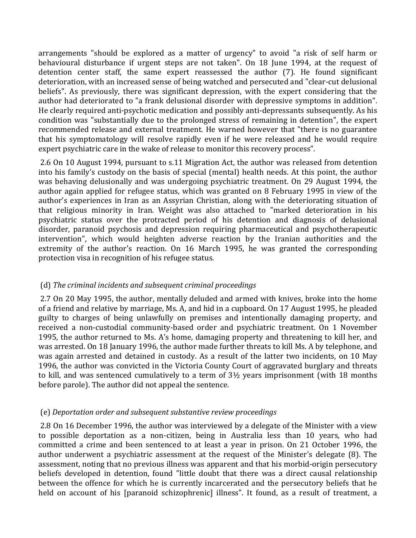arrangements "should be explored as a matter of urgency" to avoid "a risk of self harm or behavioural disturbance if urgent steps are not taken". On 18 June 1994, at the request of detention center staff, the same expert reassessed the author (7). He found significant deterioration, with an increased sense of being watched and persecuted and "clear-cut delusional beliefs". As previously, there was significant depression, with the expert considering that the author had deteriorated to "a frank delusional disorder with depressive symptoms in addition". He clearly required anti-psychotic medication and possibly anti-depressants subsequently. As his condition was "substantially due to the prolonged stress of remaining in detention", the expert recommended release and external treatment. He warned however that "there is no guarantee that his symptomatology will resolve rapidly even if he were released and he would require expert psychiatric care in the wake of release to monitor this recovery process".

2.6 On 10 August 1994, pursuant to s.11 Migration Act, the author was released from detention into his family's custody on the basis of special (mental) health needs. At this point, the author was behaving delusionally and was undergoing psychiatric treatment. On 29 August 1994, the author again applied for refugee status, which was granted on 8 February 1995 in view of the author's experiences in Iran as an Assyrian Christian, along with the deteriorating situation of that religious minority in Iran. Weight was also attached to "marked deterioration in his psychiatric status over the protracted period of his detention and diagnosis of delusional disorder, paranoid psychosis and depression requiring pharmaceutical and psychotherapeutic intervention", which would heighten adverse reaction by the Iranian authorities and the extremity of the author's reaction. On 16 March 1995, he was granted the corresponding protection visa in recognition of his refugee status.

#### (d) The criminal incidents and subsequent criminal proceedings

2.7 On 20 May 1995, the author, mentally deluded and armed with knives, broke into the home of a friend and relative by marriage, Ms. A, and hid in a cupboard. On 17 August 1995, he pleaded guilty to charges of being unlawfully on premises and intentionally damaging property, and received a non-custodial community-based order and psychiatric treatment. On 1 November 1995, the author returned to Ms. A's home, damaging property and threatening to kill her, and was arrested. On 18 January 1996, the author made further threats to kill Ms. A by telephone, and was again arrested and detained in custody. As a result of the latter two incidents, on 10 May 1996, the author was convicted in the Victoria County Court of aggravated burglary and threats to kill, and was sentenced cumulatively to a term of  $3\frac{1}{2}$  years imprisonment (with 18 months before parole). The author did not appeal the sentence.

#### (e) *Deportation order and subsequent substantive review proceedings*

2.8 On 16 December 1996, the author was interviewed by a delegate of the Minister with a view to possible deportation as a non-citizen, being in Australia less than 10 years, who had committed a crime and been sentenced to at least a year in prison. On 21 October 1996, the author underwent a psychiatric assessment at the request of the Minister's delegate (8). The assessment, noting that no previous illness was apparent and that his morbid-origin persecutory beliefs developed in detention, found "little doubt that there was a direct causal relationship between the offence for which he is currently incarcerated and the persecutory beliefs that he held on account of his [paranoid schizophrenic] illness". It found, as a result of treatment, a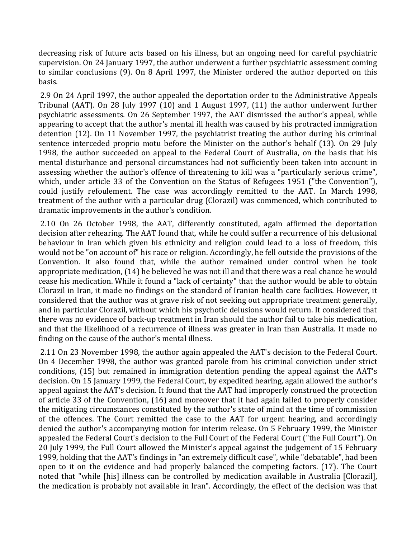decreasing risk of future acts based on his illness, but an ongoing need for careful psychiatric supervision. On 24 January 1997, the author underwent a further psychiatric assessment coming to similar conclusions (9). On 8 April 1997, the Minister ordered the author deported on this basis.

2.9 On 24 April 1997, the author appealed the deportation order to the Administrative Appeals Tribunal (AAT). On 28 July 1997  $(10)$  and 1 August 1997,  $(11)$  the author underwent further psychiatric assessments. On 26 September 1997, the AAT dismissed the author's appeal, while appearing to accept that the author's mental ill health was caused by his protracted immigration detention (12). On 11 November 1997, the psychiatrist treating the author during his criminal sentence interceded proprio motu before the Minister on the author's behalf (13). On 29 July 1998, the author succeeded on appeal to the Federal Court of Australia, on the basis that his mental disturbance and personal circumstances had not sufficiently been taken into account in assessing whether the author's offence of threatening to kill was a "particularly serious crime", which, under article 33 of the Convention on the Status of Refugees 1951 ("the Convention"), could justify refoulement. The case was accordingly remitted to the AAT. In March 1998, treatment of the author with a particular drug (Clorazil) was commenced, which contributed to dramatic improvements in the author's condition.

2.10 On 26 October 1998, the AAT, differently constituted, again affirmed the deportation decision after rehearing. The AAT found that, while he could suffer a recurrence of his delusional behaviour in Iran which given his ethnicity and religion could lead to a loss of freedom, this would not be "on account of" his race or religion. Accordingly, he fell outside the provisions of the Convention. It also found that, while the author remained under control when he took appropriate medication, (14) he believed he was not ill and that there was a real chance he would cease his medication. While it found a "lack of certainty" that the author would be able to obtain Clorazil in Iran, it made no findings on the standard of Iranian health care facilities. However, it considered that the author was at grave risk of not seeking out appropriate treatment generally, and in particular Clorazil, without which his psychotic delusions would return. It considered that there was no evidence of back-up treatment in Iran should the author fail to take his medication, and that the likelihood of a recurrence of illness was greater in Iran than Australia. It made no finding on the cause of the author's mental illness.

2.11 On 23 November 1998, the author again appealed the AAT's decision to the Federal Court. On 4 December 1998, the author was granted parole from his criminal conviction under strict conditions, (15) but remained in immigration detention pending the appeal against the AAT's decision. On 15 January 1999, the Federal Court, by expedited hearing, again allowed the author's appeal against the AAT's decision. It found that the AAT had improperly construed the protection of article 33 of the Convention, (16) and moreover that it had again failed to properly consider the mitigating circumstances constituted by the author's state of mind at the time of commission of the offences. The Court remitted the case to the AAT for urgent hearing, and accordingly denied the author's accompanying motion for interim release. On 5 February 1999, the Minister appealed the Federal Court's decision to the Full Court of the Federal Court ("the Full Court"). On 20 July 1999, the Full Court allowed the Minister's appeal against the judgement of 15 February 1999, holding that the AAT's findings in "an extremely difficult case", while "debatable", had been open to it on the evidence and had properly balanced the competing factors. (17). The Court noted that "while [his] illness can be controlled by medication available in Australia [Clorazil], the medication is probably not available in Iran". Accordingly, the effect of the decision was that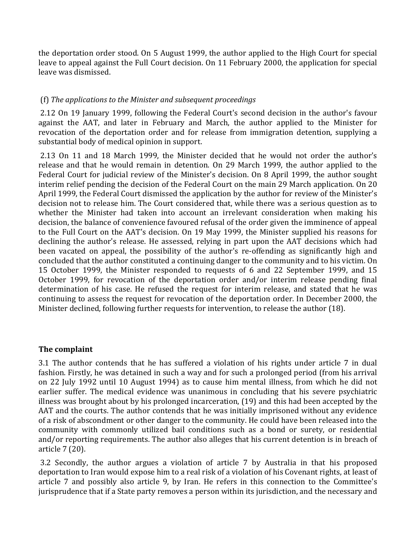the deportation order stood. On 5 August 1999, the author applied to the High Court for special leave to appeal against the Full Court decision. On 11 February 2000, the application for special leave was dismissed.

### (f) *The applications to the Minister and subsequent proceedings*

2.12 On 19 January 1999, following the Federal Court's second decision in the author's favour against the AAT, and later in February and March, the author applied to the Minister for revocation of the deportation order and for release from immigration detention, supplying a substantial body of medical opinion in support.

2.13 On 11 and 18 March 1999, the Minister decided that he would not order the author's release and that he would remain in detention. On 29 March 1999, the author applied to the Federal Court for judicial review of the Minister's decision. On 8 April 1999, the author sought interim relief pending the decision of the Federal Court on the main 29 March application. On 20 April 1999, the Federal Court dismissed the application by the author for review of the Minister's decision not to release him. The Court considered that, while there was a serious question as to whether the Minister had taken into account an irrelevant consideration when making his decision, the balance of convenience favoured refusal of the order given the imminence of appeal to the Full Court on the AAT's decision. On 19 May 1999, the Minister supplied his reasons for declining the author's release. He assessed, relying in part upon the AAT decisions which had been vacated on appeal, the possibility of the author's re-offending as significantly high and concluded that the author constituted a continuing danger to the community and to his victim. On 15 October 1999, the Minister responded to requests of 6 and 22 September 1999, and 15 October 1999, for revocation of the deportation order and/or interim release pending final determination of his case. He refused the request for interim release, and stated that he was continuing to assess the request for revocation of the deportation order. In December 2000, the Minister declined, following further requests for intervention, to release the author (18).

#### **The complaint**

3.1 The author contends that he has suffered a violation of his rights under article 7 in dual fashion. Firstly, he was detained in such a way and for such a prolonged period (from his arrival on 22 July 1992 until 10 August 1994) as to cause him mental illness, from which he did not earlier suffer. The medical evidence was unanimous in concluding that his severe psychiatric illness was brought about by his prolonged incarceration,  $(19)$  and this had been accepted by the AAT and the courts. The author contends that he was initially imprisoned without any evidence of a risk of abscondment or other danger to the community. He could have been released into the community with commonly utilized bail conditions such as a bond or surety, or residential and/or reporting requirements. The author also alleges that his current detention is in breach of article 7 (20).

3.2 Secondly, the author argues a violation of article 7 by Australia in that his proposed deportation to Iran would expose him to a real risk of a violation of his Covenant rights, at least of article 7 and possibly also article 9, by Iran. He refers in this connection to the Committee's jurisprudence that if a State party removes a person within its jurisdiction, and the necessary and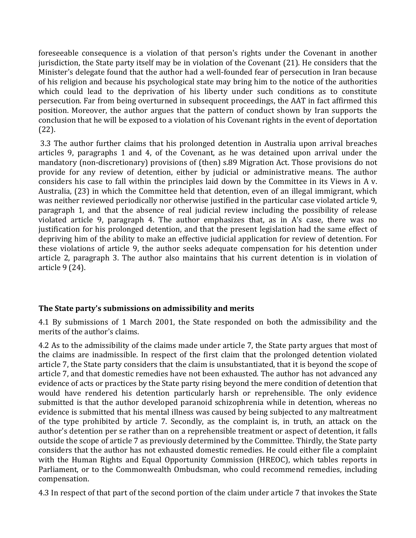foreseeable consequence is a violation of that person's rights under the Covenant in another jurisdiction, the State party itself may be in violation of the Covenant (21). He considers that the Minister's delegate found that the author had a well-founded fear of persecution in Iran because of his religion and because his psychological state may bring him to the notice of the authorities which could lead to the deprivation of his liberty under such conditions as to constitute persecution. Far from being overturned in subsequent proceedings, the AAT in fact affirmed this position. Moreover, the author argues that the pattern of conduct shown by Iran supports the conclusion that he will be exposed to a violation of his Covenant rights in the event of deportation (22).

3.3 The author further claims that his prolonged detention in Australia upon arrival breaches articles 9, paragraphs 1 and 4, of the Covenant, as he was detained upon arrival under the mandatory (non-discretionary) provisions of (then) s.89 Migration Act. Those provisions do not provide for any review of detention, either by judicial or administrative means. The author considers his case to fall within the principles laid down by the Committee in its Views in A v. Australia, (23) in which the Committee held that detention, even of an illegal immigrant, which was neither reviewed periodically nor otherwise justified in the particular case violated article 9, paragraph 1, and that the absence of real judicial review including the possibility of release violated article 9, paragraph 4. The author emphasizes that, as in A's case, there was no justification for his prolonged detention, and that the present legislation had the same effect of depriving him of the ability to make an effective judicial application for review of detention. For these violations of article 9, the author seeks adequate compensation for his detention under article 2, paragraph 3. The author also maintains that his current detention is in violation of article 9 (24).

# **The State party's submissions on admissibility and merits**

4.1 By submissions of 1 March 2001, the State responded on both the admissibility and the merits of the author's claims.

4.2 As to the admissibility of the claims made under article 7, the State party argues that most of the claims are inadmissible. In respect of the first claim that the prolonged detention violated article 7, the State party considers that the claim is unsubstantiated, that it is beyond the scope of article 7, and that domestic remedies have not been exhausted. The author has not advanced any evidence of acts or practices by the State party rising beyond the mere condition of detention that would have rendered his detention particularly harsh or reprehensible. The only evidence submitted is that the author developed paranoid schizophrenia while in detention, whereas no evidence is submitted that his mental illness was caused by being subjected to any maltreatment of the type prohibited by article 7. Secondly, as the complaint is, in truth, an attack on the author's detention per se rather than on a reprehensible treatment or aspect of detention, it falls outside the scope of article 7 as previously determined by the Committee. Thirdly, the State party considers that the author has not exhausted domestic remedies. He could either file a complaint with the Human Rights and Equal Opportunity Commission (HREOC), which tables reports in Parliament, or to the Commonwealth Ombudsman, who could recommend remedies, including compensation.

4.3 In respect of that part of the second portion of the claim under article 7 that invokes the State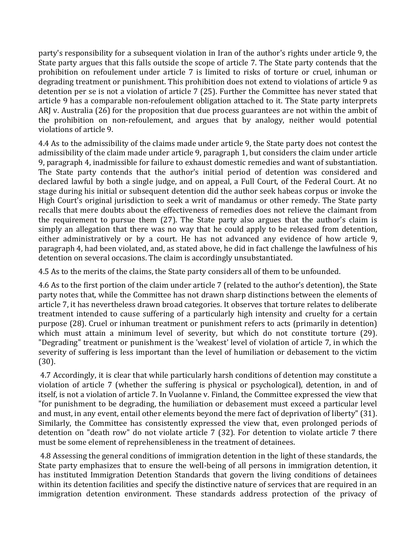party's responsibility for a subsequent violation in Iran of the author's rights under article 9, the State party argues that this falls outside the scope of article 7. The State party contends that the prohibition on refoulement under article 7 is limited to risks of torture or cruel, inhuman or degrading treatment or punishment. This prohibition does not extend to violations of article 9 as detention per se is not a violation of article 7 (25). Further the Committee has never stated that article 9 has a comparable non-refoulement obligation attached to it. The State party interprets ARJ v. Australia  $(26)$  for the proposition that due process guarantees are not within the ambit of the prohibition on non-refoulement, and argues that by analogy, neither would potential violations of article 9.

4.4 As to the admissibility of the claims made under article 9, the State party does not contest the admissibility of the claim made under article 9, paragraph 1, but considers the claim under article 9, paragraph 4, inadmissible for failure to exhaust domestic remedies and want of substantiation. The State party contends that the author's initial period of detention was considered and declared lawful by both a single judge, and on appeal, a Full Court, of the Federal Court. At no stage during his initial or subsequent detention did the author seek habeas corpus or invoke the High Court's original jurisdiction to seek a writ of mandamus or other remedy. The State party recalls that mere doubts about the effectiveness of remedies does not relieve the claimant from the requirement to pursue them  $(27)$ . The State party also argues that the author's claim is simply an allegation that there was no way that he could apply to be released from detention, either administratively or by a court. He has not advanced any evidence of how article 9, paragraph 4, had been violated, and, as stated above, he did in fact challenge the lawfulness of his detention on several occasions. The claim is accordingly unsubstantiated.

4.5 As to the merits of the claims, the State party considers all of them to be unfounded.

4.6 As to the first portion of the claim under article 7 (related to the author's detention), the State party notes that, while the Committee has not drawn sharp distinctions between the elements of article 7, it has nevertheless drawn broad categories. It observes that torture relates to deliberate treatment intended to cause suffering of a particularly high intensity and cruelty for a certain purpose (28). Cruel or inhuman treatment or punishment refers to acts (primarily in detention) which must attain a minimum level of severity, but which do not constitute torture (29). "Degrading" treatment or punishment is the 'weakest' level of violation of article 7, in which the severity of suffering is less important than the level of humiliation or debasement to the victim (30).

4.7 Accordingly, it is clear that while particularly harsh conditions of detention may constitute a violation of article 7 (whether the suffering is physical or psychological), detention, in and of itself, is not a violation of article 7. In Vuolanne v. Finland, the Committee expressed the view that "for punishment to be degrading, the humiliation or debasement must exceed a particular level and must, in any event, entail other elements beyond the mere fact of deprivation of liberty"  $(31)$ . Similarly, the Committee has consistently expressed the view that, even prolonged periods of detention on "death row" do not violate article 7 (32). For detention to violate article 7 there must be some element of reprehensibleness in the treatment of detainees.

4.8 Assessing the general conditions of immigration detention in the light of these standards, the State party emphasizes that to ensure the well-being of all persons in immigration detention, it has instituted Immigration Detention Standards that govern the living conditions of detainees within its detention facilities and specify the distinctive nature of services that are required in an immigration detention environment. These standards address protection of the privacy of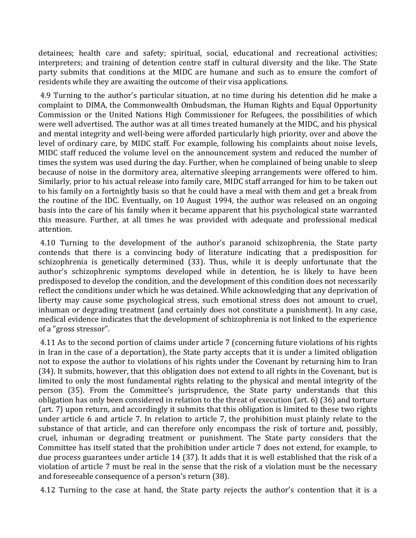detainees; health care and safety; spiritual, social, educational and recreational activities; interpreters; and training of detention centre staff in cultural diversity and the like. The State party submits that conditions at the MIDC are humane and such as to ensure the comfort of residents while they are awaiting the outcome of their visa applications.

4.9 Turning to the author's particular situation, at no time during his detention did he make a complaint to DIMA, the Commonwealth Ombudsman, the Human Rights and Equal Opportunity Commission or the United Nations High Commissioner for Refugees, the possibilities of which were well advertised. The author was at all times treated humanely at the MIDC, and his physical and mental integrity and well-being were afforded particularly high priority, over and above the level of ordinary care, by MIDC staff. For example, following his complaints about noise levels, MIDC staff reduced the volume level on the announcement system and reduced the number of times the system was used during the day. Further, when he complained of being unable to sleep because of noise in the dormitory area, alternative sleeping arrangements were offered to him. Similarly, prior to his actual release into family care, MIDC staff arranged for him to be taken out to his family on a fortnightly basis so that he could have a meal with them and get a break from the routine of the IDC. Eventually, on 10 August 1994, the author was released on an ongoing basis into the care of his family when it became apparent that his psychological state warranted this measure. Further, at all times he was provided with adequate and professional medical attention.

4.10 Turning to the development of the author's paranoid schizophrenia, the State party contends that there is a convincing body of literature indicating that a predisposition for schizophrenia is genetically determined (33). Thus, while it is deeply unfortunate that the author's schizophrenic symptoms developed while in detention, he is likely to have been predisposed to develop the condition, and the development of this condition does not necessarily reflect the conditions under which he was detained. While acknowledging that any deprivation of liberty may cause some psychological stress, such emotional stress does not amount to cruel, inhuman or degrading treatment (and certainly does not constitute a punishment). In any case, medical evidence indicates that the development of schizophrenia is not linked to the experience of a "gross stressor".

4.11 As to the second portion of claims under article 7 (concerning future violations of his rights in Iran in the case of a deportation), the State party accepts that it is under a limited obligation not to expose the author to violations of his rights under the Covenant by returning him to Iran (34). It submits, however, that this obligation does not extend to all rights in the Covenant, but is limited to only the most fundamental rights relating to the physical and mental integrity of the person (35). From the Committee's jurisprudence, the State party understands that this obligation has only been considered in relation to the threat of execution (art. 6) (36) and torture (art. 7) upon return, and accordingly it submits that this obligation is limited to these two rights under article 6 and article 7. In relation to article 7, the prohibition must plainly relate to the substance of that article, and can therefore only encompass the risk of torture and, possibly, cruel, inhuman or degrading treatment or punishment. The State party considers that the Committee has itself stated that the prohibition under article 7 does not extend, for example, to due process guarantees under article 14 (37). It adds that it is well established that the risk of a violation of article 7 must be real in the sense that the risk of a violation must be the necessary and foreseeable consequence of a person's return (38).

4.12 Turning to the case at hand, the State party rejects the author's contention that it is a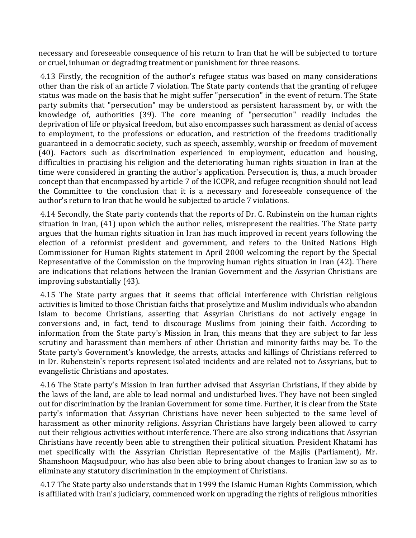necessary and foreseeable consequence of his return to Iran that he will be subjected to torture or cruel, inhuman or degrading treatment or punishment for three reasons.

4.13 Firstly, the recognition of the author's refugee status was based on many considerations other than the risk of an article 7 violation. The State party contends that the granting of refugee status was made on the basis that he might suffer "persecution" in the event of return. The State party submits that "persecution" may be understood as persistent harassment by, or with the knowledge of, authorities (39). The core meaning of "persecution" readily includes the deprivation of life or physical freedom, but also encompasses such harassment as denial of access to employment, to the professions or education, and restriction of the freedoms traditionally guaranteed in a democratic society, such as speech, assembly, worship or freedom of movement (40). Factors such as discrimination experienced in employment, education and housing, difficulties in practising his religion and the deteriorating human rights situation in Iran at the time were considered in granting the author's application. Persecution is, thus, a much broader concept than that encompassed by article 7 of the ICCPR, and refugee recognition should not lead the Committee to the conclusion that it is a necessary and foreseeable consequence of the author's return to Iran that he would be subjected to article 7 violations.

4.14 Secondly, the State party contends that the reports of Dr. C. Rubinstein on the human rights situation in Iran, (41) upon which the author relies, misrepresent the realities. The State party argues that the human rights situation in Iran has much improved in recent years following the election of a reformist president and government, and refers to the United Nations High Commissioner for Human Rights statement in April 2000 welcoming the report by the Special Representative of the Commission on the improving human rights situation in Iran  $(42)$ . There are indications that relations between the Iranian Government and the Assyrian Christians are improving substantially (43).

4.15 The State party argues that it seems that official interference with Christian religious activities is limited to those Christian faiths that proselytize and Muslim individuals who abandon Islam to become Christians, asserting that Assyrian Christians do not actively engage in conversions and, in fact, tend to discourage Muslims from joining their faith. According to information from the State party's Mission in Iran, this means that they are subject to far less scrutiny and harassment than members of other Christian and minority faiths may be. To the State party's Government's knowledge, the arrests, attacks and killings of Christians referred to in Dr. Rubenstein's reports represent isolated incidents and are related not to Assyrians, but to evangelistic Christians and apostates.

4.16 The State party's Mission in Iran further advised that Assyrian Christians, if they abide by the laws of the land, are able to lead normal and undisturbed lives. They have not been singled out for discrimination by the Iranian Government for some time. Further, it is clear from the State party's information that Assyrian Christians have never been subjected to the same level of harassment as other minority religions. Assyrian Christians have largely been allowed to carry out their religious activities without interference. There are also strong indications that Assyrian Christians have recently been able to strengthen their political situation. President Khatami has met specifically with the Assyrian Christian Representative of the Majlis (Parliament), Mr. Shamshoon Magsudpour, who has also been able to bring about changes to Iranian law so as to eliminate any statutory discrimination in the employment of Christians.

4.17 The State party also understands that in 1999 the Islamic Human Rights Commission, which is affiliated with Iran's judiciary, commenced work on upgrading the rights of religious minorities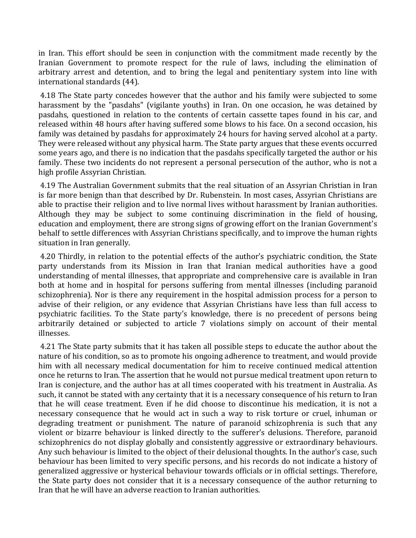in Iran. This effort should be seen in conjunction with the commitment made recently by the Iranian Government to promote respect for the rule of laws, including the elimination of arbitrary arrest and detention, and to bring the legal and penitentiary system into line with international standards (44).

4.18 The State party concedes however that the author and his family were subjected to some harassment by the "pasdahs" (vigilante youths) in Iran. On one occasion, he was detained by pasdahs, questioned in relation to the contents of certain cassette tapes found in his car, and released within 48 hours after having suffered some blows to his face. On a second occasion, his family was detained by pasdahs for approximately 24 hours for having served alcohol at a party. They were released without any physical harm. The State party argues that these events occurred some years ago, and there is no indication that the pasdahs specifically targeted the author or his family. These two incidents do not represent a personal persecution of the author, who is not a high profile Assyrian Christian.

4.19 The Australian Government submits that the real situation of an Assyrian Christian in Iran is far more benign than that described by Dr. Rubenstein. In most cases, Assyrian Christians are able to practise their religion and to live normal lives without harassment by Iranian authorities. Although they may be subject to some continuing discrimination in the field of housing, education and employment, there are strong signs of growing effort on the Iranian Government's behalf to settle differences with Assyrian Christians specifically, and to improve the human rights situation in Iran generally.

4.20 Thirdly, in relation to the potential effects of the author's psychiatric condition, the State party understands from its Mission in Iran that Iranian medical authorities have a good understanding of mental illnesses, that appropriate and comprehensive care is available in Iran both at home and in hospital for persons suffering from mental illnesses (including paranoid schizophrenia). Nor is there any requirement in the hospital admission process for a person to advise of their religion, or any evidence that Assyrian Christians have less than full access to psychiatric facilities. To the State party's knowledge, there is no precedent of persons being arbitrarily detained or subjected to article 7 violations simply on account of their mental illnesses.

4.21 The State party submits that it has taken all possible steps to educate the author about the nature of his condition, so as to promote his ongoing adherence to treatment, and would provide him with all necessary medical documentation for him to receive continued medical attention once he returns to Iran. The assertion that he would not pursue medical treatment upon return to Iran is conjecture, and the author has at all times cooperated with his treatment in Australia. As such, it cannot be stated with any certainty that it is a necessary consequence of his return to Iran that he will cease treatment. Even if he did choose to discontinue his medication, it is not a necessary consequence that he would act in such a way to risk torture or cruel, inhuman or degrading treatment or punishment. The nature of paranoid schizophrenia is such that any violent or bizarre behaviour is linked directly to the sufferer's delusions. Therefore, paranoid schizophrenics do not display globally and consistently aggressive or extraordinary behaviours. Any such behaviour is limited to the object of their delusional thoughts. In the author's case, such behaviour has been limited to very specific persons, and his records do not indicate a history of generalized aggressive or hysterical behaviour towards officials or in official settings. Therefore, the State party does not consider that it is a necessary consequence of the author returning to Iran that he will have an adverse reaction to Iranian authorities.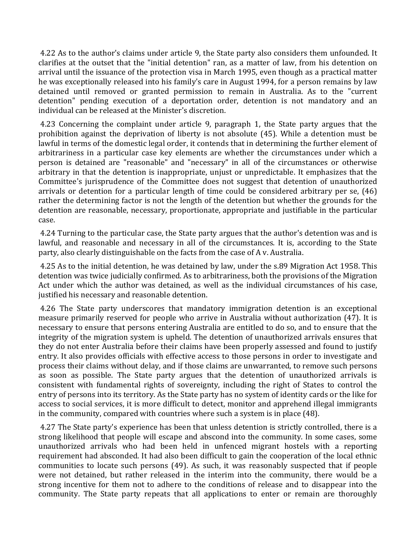4.22 As to the author's claims under article 9, the State party also considers them unfounded. It clarifies at the outset that the "initial detention" ran, as a matter of law, from his detention on arrival until the issuance of the protection visa in March 1995, even though as a practical matter he was exceptionally released into his family's care in August 1994, for a person remains by law detained until removed or granted permission to remain in Australia. As to the "current detention" pending execution of a deportation order, detention is not mandatory and an individual can be released at the Minister's discretion.

4.23 Concerning the complaint under article 9, paragraph 1, the State party argues that the prohibition against the deprivation of liberty is not absolute (45). While a detention must be lawful in terms of the domestic legal order, it contends that in determining the further element of arbitrariness in a particular case key elements are whether the circumstances under which a person is detained are "reasonable" and "necessary" in all of the circumstances or otherwise arbitrary in that the detention is inappropriate, unjust or unpredictable. It emphasizes that the Committee's jurisprudence of the Committee does not suggest that detention of unauthorized arrivals or detention for a particular length of time could be considered arbitrary per se,  $(46)$ rather the determining factor is not the length of the detention but whether the grounds for the detention are reasonable, necessary, proportionate, appropriate and justifiable in the particular case.

4.24 Turning to the particular case, the State party argues that the author's detention was and is lawful, and reasonable and necessary in all of the circumstances. It is, according to the State party, also clearly distinguishable on the facts from the case of A v. Australia.

4.25 As to the initial detention, he was detained by law, under the s.89 Migration Act 1958. This detention was twice judicially confirmed. As to arbitrariness, both the provisions of the Migration Act under which the author was detained, as well as the individual circumstances of his case, justified his necessary and reasonable detention.

4.26 The State party underscores that mandatory immigration detention is an exceptional measure primarily reserved for people who arrive in Australia without authorization (47). It is necessary to ensure that persons entering Australia are entitled to do so, and to ensure that the integrity of the migration system is upheld. The detention of unauthorized arrivals ensures that they do not enter Australia before their claims have been properly assessed and found to justify entry. It also provides officials with effective access to those persons in order to investigate and process their claims without delay, and if those claims are unwarranted, to remove such persons as soon as possible. The State party argues that the detention of unauthorized arrivals is consistent with fundamental rights of sovereignty, including the right of States to control the entry of persons into its territory. As the State party has no system of identity cards or the like for access to social services, it is more difficult to detect, monitor and apprehend illegal immigrants in the community, compared with countries where such a system is in place  $(48)$ .

4.27 The State party's experience has been that unless detention is strictly controlled, there is a strong likelihood that people will escape and abscond into the community. In some cases, some unauthorized arrivals who had been held in unfenced migrant hostels with a reporting requirement had absconded. It had also been difficult to gain the cooperation of the local ethnic communities to locate such persons (49). As such, it was reasonably suspected that if people were not detained, but rather released in the interim into the community, there would be a strong incentive for them not to adhere to the conditions of release and to disappear into the community. The State party repeats that all applications to enter or remain are thoroughly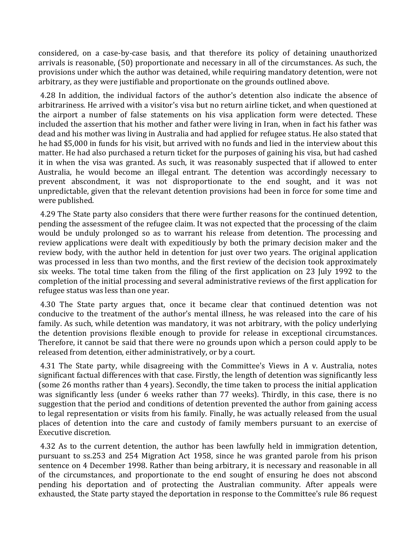considered, on a case-by-case basis, and that therefore its policy of detaining unauthorized arrivals is reasonable, (50) proportionate and necessary in all of the circumstances. As such, the provisions under which the author was detained, while requiring mandatory detention, were not arbitrary, as they were justifiable and proportionate on the grounds outlined above.

4.28 In addition, the individual factors of the author's detention also indicate the absence of arbitrariness. He arrived with a visitor's visa but no return airline ticket, and when questioned at the airport a number of false statements on his visa application form were detected. These included the assertion that his mother and father were living in Iran, when in fact his father was dead and his mother was living in Australia and had applied for refugee status. He also stated that he had \$5,000 in funds for his visit, but arrived with no funds and lied in the interview about this matter. He had also purchased a return ticket for the purposes of gaining his visa, but had cashed it in when the visa was granted. As such, it was reasonably suspected that if allowed to enter Australia, he would become an illegal entrant. The detention was accordingly necessary to prevent abscondment, it was not disproportionate to the end sought, and it was not unpredictable, given that the relevant detention provisions had been in force for some time and were published.

4.29 The State party also considers that there were further reasons for the continued detention, pending the assessment of the refugee claim. It was not expected that the processing of the claim would be unduly prolonged so as to warrant his release from detention. The processing and review applications were dealt with expeditiously by both the primary decision maker and the review body, with the author held in detention for just over two years. The original application was processed in less than two months, and the first review of the decision took approximately six weeks. The total time taken from the filing of the first application on 23 July 1992 to the completion of the initial processing and several administrative reviews of the first application for refugee status was less than one year.

4.30 The State party argues that, once it became clear that continued detention was not conducive to the treatment of the author's mental illness, he was released into the care of his family. As such, while detention was mandatory, it was not arbitrary, with the policy underlying the detention provisions flexible enough to provide for release in exceptional circumstances. Therefore, it cannot be said that there were no grounds upon which a person could apply to be released from detention, either administratively, or by a court.

4.31 The State party, while disagreeing with the Committee's Views in A v. Australia, notes significant factual differences with that case. Firstly, the length of detention was significantly less (some 26 months rather than 4 years). Secondly, the time taken to process the initial application was significantly less (under 6 weeks rather than 77 weeks). Thirdly, in this case, there is no suggestion that the period and conditions of detention prevented the author from gaining access to legal representation or visits from his family. Finally, he was actually released from the usual places of detention into the care and custody of family members pursuant to an exercise of Executive discretion.

4.32 As to the current detention, the author has been lawfully held in immigration detention, pursuant to ss.253 and 254 Migration Act 1958, since he was granted parole from his prison sentence on 4 December 1998. Rather than being arbitrary, it is necessary and reasonable in all of the circumstances, and proportionate to the end sought of ensuring he does not abscond pending his deportation and of protecting the Australian community. After appeals were exhausted, the State party stayed the deportation in response to the Committee's rule 86 request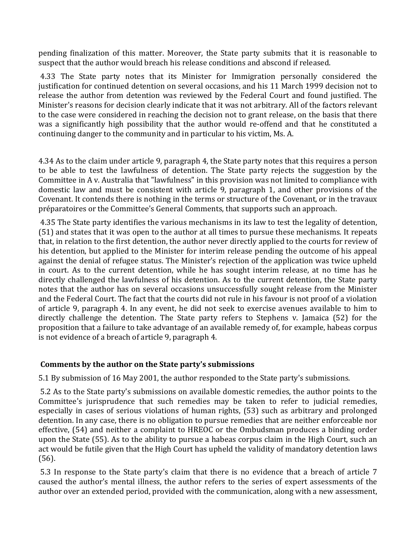pending finalization of this matter. Moreover, the State party submits that it is reasonable to suspect that the author would breach his release conditions and abscond if released.

4.33 The State party notes that its Minister for Immigration personally considered the justification for continued detention on several occasions, and his 11 March 1999 decision not to release the author from detention was reviewed by the Federal Court and found justified. The Minister's reasons for decision clearly indicate that it was not arbitrary. All of the factors relevant to the case were considered in reaching the decision not to grant release, on the basis that there was a significantly high possibility that the author would re-offend and that he constituted a continuing danger to the community and in particular to his victim, Ms. A.

4.34 As to the claim under article 9, paragraph 4, the State party notes that this requires a person to be able to test the lawfulness of detention. The State party rejects the suggestion by the Committee in A v. Australia that "lawfulness" in this provision was not limited to compliance with domestic law and must be consistent with article 9, paragraph 1, and other provisions of the Covenant. It contends there is nothing in the terms or structure of the Covenant, or in the travaux préparatoires or the Committee's General Comments, that supports such an approach.

4.35 The State party identifies the various mechanisms in its law to test the legality of detention, (51) and states that it was open to the author at all times to pursue these mechanisms. It repeats that, in relation to the first detention, the author never directly applied to the courts for review of his detention, but applied to the Minister for interim release pending the outcome of his appeal against the denial of refugee status. The Minister's rejection of the application was twice upheld in court. As to the current detention, while he has sought interim release, at no time has he directly challenged the lawfulness of his detention. As to the current detention, the State party notes that the author has on several occasions unsuccessfully sought release from the Minister and the Federal Court. The fact that the courts did not rule in his favour is not proof of a violation of article 9, paragraph 4. In any event, he did not seek to exercise avenues available to him to directly challenge the detention. The State party refers to Stephens v. Jamaica (52) for the proposition that a failure to take advantage of an available remedy of, for example, habeas corpus is not evidence of a breach of article 9, paragraph 4.

# Comments by the author on the State party's submissions

5.1 By submission of 16 May 2001, the author responded to the State party's submissions.

5.2 As to the State party's submissions on available domestic remedies, the author points to the Committee's jurisprudence that such remedies may be taken to refer to judicial remedies, especially in cases of serious violations of human rights, (53) such as arbitrary and prolonged detention. In any case, there is no obligation to pursue remedies that are neither enforceable nor effective, (54) and neither a complaint to HREOC or the Ombudsman produces a binding order upon the State (55). As to the ability to pursue a habeas corpus claim in the High Court, such an act would be futile given that the High Court has upheld the validity of mandatory detention laws (56).

5.3 In response to the State party's claim that there is no evidence that a breach of article 7 caused the author's mental illness, the author refers to the series of expert assessments of the author over an extended period, provided with the communication, along with a new assessment,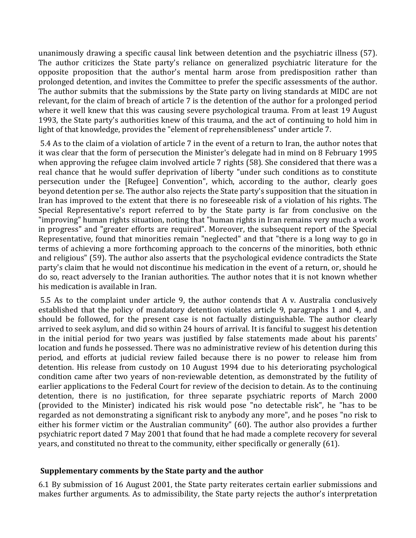unanimously drawing a specific causal link between detention and the psychiatric illness (57). The author criticizes the State party's reliance on generalized psychiatric literature for the opposite proposition that the author's mental harm arose from predisposition rather than prolonged detention, and invites the Committee to prefer the specific assessments of the author. The author submits that the submissions by the State party on living standards at MIDC are not relevant, for the claim of breach of article 7 is the detention of the author for a prolonged period where it well knew that this was causing severe psychological trauma. From at least 19 August 1993, the State party's authorities knew of this trauma, and the act of continuing to hold him in light of that knowledge, provides the "element of reprehensibleness" under article 7.

5.4 As to the claim of a violation of article 7 in the event of a return to Iran, the author notes that it was clear that the form of persecution the Minister's delegate had in mind on 8 February 1995 when approving the refugee claim involved article 7 rights (58). She considered that there was a real chance that he would suffer deprivation of liberty "under such conditions as to constitute persecution under the [Refugee] Convention", which, according to the author, clearly goes beyond detention per se. The author also rejects the State party's supposition that the situation in Iran has improved to the extent that there is no foreseeable risk of a violation of his rights. The Special Representative's report referred to by the State party is far from conclusive on the "improving" human rights situation, noting that "human rights in Iran remains very much a work in progress" and "greater efforts are required". Moreover, the subsequent report of the Special Representative, found that minorities remain "neglected" and that "there is a long way to go in terms of achieving a more forthcoming approach to the concerns of the minorities, both ethnic and religious" (59). The author also asserts that the psychological evidence contradicts the State party's claim that he would not discontinue his medication in the event of a return, or, should he do so, react adversely to the Iranian authorities. The author notes that it is not known whether his medication is available in Iran.

5.5 As to the complaint under article 9, the author contends that A v. Australia conclusively established that the policy of mandatory detention violates article 9, paragraphs 1 and 4, and should be followed, for the present case is not factually distinguishable. The author clearly arrived to seek asylum, and did so within 24 hours of arrival. It is fanciful to suggest his detention in the initial period for two years was justified by false statements made about his parents' location and funds he possessed. There was no administrative review of his detention during this period, and efforts at judicial review failed because there is no power to release him from detention. His release from custody on 10 August 1994 due to his deteriorating psychological condition came after two years of non-reviewable detention, as demonstrated by the futility of earlier applications to the Federal Court for review of the decision to detain. As to the continuing detention, there is no justification, for three separate psychiatric reports of March 2000 (provided to the Minister) indicated his risk would pose "no detectable risk", he "has to be regarded as not demonstrating a significant risk to anybody any more", and he poses "no risk to either his former victim or the Australian community"  $(60)$ . The author also provides a further psychiatric report dated 7 May 2001 that found that he had made a complete recovery for several years, and constituted no threat to the community, either specifically or generally (61).

#### Supplementary comments by the State party and the author

6.1 By submission of 16 August 2001, the State party reiterates certain earlier submissions and makes further arguments. As to admissibility, the State party rejects the author's interpretation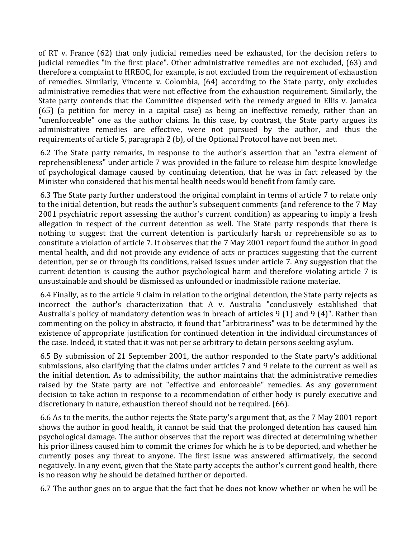of RT v. France (62) that only judicial remedies need be exhausted, for the decision refers to judicial remedies "in the first place". Other administrative remedies are not excluded, (63) and therefore a complaint to HREOC, for example, is not excluded from the requirement of exhaustion of remedies. Similarly, Vincente v. Colombia,  $(64)$  according to the State party, only excludes administrative remedies that were not effective from the exhaustion requirement. Similarly, the State party contends that the Committee dispensed with the remedy argued in Ellis v. Jamaica  $(65)$  (a petition for mercy in a capital case) as being an ineffective remedy, rather than an "unenforceable" one as the author claims. In this case, by contrast, the State party argues its administrative remedies are effective, were not pursued by the author, and thus the requirements of article 5, paragraph 2 (b), of the Optional Protocol have not been met.

6.2 The State party remarks, in response to the author's assertion that an "extra element of reprehensibleness" under article 7 was provided in the failure to release him despite knowledge of psychological damage caused by continuing detention, that he was in fact released by the Minister who considered that his mental health needs would benefit from family care.

6.3 The State party further understood the original complaint in terms of article 7 to relate only to the initial detention, but reads the author's subsequent comments (and reference to the 7 May 2001 psychiatric report assessing the author's current condition) as appearing to imply a fresh allegation in respect of the current detention as well. The State party responds that there is nothing to suggest that the current detention is particularly harsh or reprehensible so as to constitute a violation of article 7. It observes that the 7 May 2001 report found the author in good mental health, and did not provide any evidence of acts or practices suggesting that the current detention, per se or through its conditions, raised issues under article 7. Any suggestion that the current detention is causing the author psychological harm and therefore violating article 7 is unsustainable and should be dismissed as unfounded or inadmissible ratione materiae.

6.4 Finally, as to the article 9 claim in relation to the original detention, the State party rejects as incorrect the author's characterization that A v. Australia "conclusively established that Australia's policy of mandatory detention was in breach of articles  $9(1)$  and  $9(4)$ ". Rather than commenting on the policy in abstracto, it found that "arbitrariness" was to be determined by the existence of appropriate justification for continued detention in the individual circumstances of the case. Indeed, it stated that it was not per se arbitrary to detain persons seeking asylum.

6.5 By submission of 21 September 2001, the author responded to the State party's additional submissions, also clarifying that the claims under articles 7 and 9 relate to the current as well as the initial detention. As to admissibility, the author maintains that the administrative remedies raised by the State party are not "effective and enforceable" remedies. As any government decision to take action in response to a recommendation of either body is purely executive and discretionary in nature, exhaustion thereof should not be required. (66).

6.6 As to the merits, the author rejects the State party's argument that, as the 7 May 2001 report shows the author in good health, it cannot be said that the prolonged detention has caused him psychological damage. The author observes that the report was directed at determining whether his prior illness caused him to commit the crimes for which he is to be deported, and whether he currently poses any threat to anyone. The first issue was answered affirmatively, the second negatively. In any event, given that the State party accepts the author's current good health, there is no reason why he should be detained further or deported.

6.7 The author goes on to argue that the fact that he does not know whether or when he will be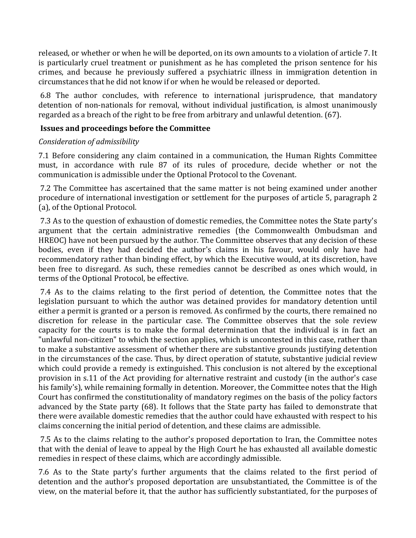released, or whether or when he will be deported, on its own amounts to a violation of article 7. It is particularly cruel treatment or punishment as he has completed the prison sentence for his crimes, and because he previously suffered a psychiatric illness in immigration detention in circumstances that he did not know if or when he would be released or deported.

6.8 The author concludes, with reference to international jurisprudence, that mandatory detention of non-nationals for removal, without individual justification, is almost unanimously regarded as a breach of the right to be free from arbitrary and unlawful detention.  $(67)$ .

### **Issues and proceedings before the Committee**

### *Consideration of admissibility*

7.1 Before considering any claim contained in a communication, the Human Rights Committee must, in accordance with rule 87 of its rules of procedure, decide whether or not the communication is admissible under the Optional Protocol to the Covenant.

7.2 The Committee has ascertained that the same matter is not being examined under another procedure of international investigation or settlement for the purposes of article 5, paragraph 2 (a), of the Optional Protocol.

7.3 As to the question of exhaustion of domestic remedies, the Committee notes the State party's argument that the certain administrative remedies (the Commonwealth Ombudsman and HREOC) have not been pursued by the author. The Committee observes that any decision of these bodies, even if they had decided the author's claims in his favour, would only have had recommendatory rather than binding effect, by which the Executive would, at its discretion, have been free to disregard. As such, these remedies cannot be described as ones which would, in terms of the Optional Protocol, be effective.

7.4 As to the claims relating to the first period of detention, the Committee notes that the legislation pursuant to which the author was detained provides for mandatory detention until either a permit is granted or a person is removed. As confirmed by the courts, there remained no discretion for release in the particular case. The Committee observes that the sole review capacity for the courts is to make the formal determination that the individual is in fact an "unlawful non-citizen" to which the section applies, which is uncontested in this case, rather than to make a substantive assessment of whether there are substantive grounds justifying detention in the circumstances of the case. Thus, by direct operation of statute, substantive judicial review which could provide a remedy is extinguished. This conclusion is not altered by the exceptional provision in s.11 of the Act providing for alternative restraint and custody (in the author's case his family's), while remaining formally in detention. Moreover, the Committee notes that the High Court has confirmed the constitutionality of mandatory regimes on the basis of the policy factors advanced by the State party (68). It follows that the State party has failed to demonstrate that there were available domestic remedies that the author could have exhausted with respect to his claims concerning the initial period of detention, and these claims are admissible.

7.5 As to the claims relating to the author's proposed deportation to Iran, the Committee notes that with the denial of leave to appeal by the High Court he has exhausted all available domestic remedies in respect of these claims, which are accordingly admissible.

7.6 As to the State party's further arguments that the claims related to the first period of detention and the author's proposed deportation are unsubstantiated, the Committee is of the view, on the material before it, that the author has sufficiently substantiated, for the purposes of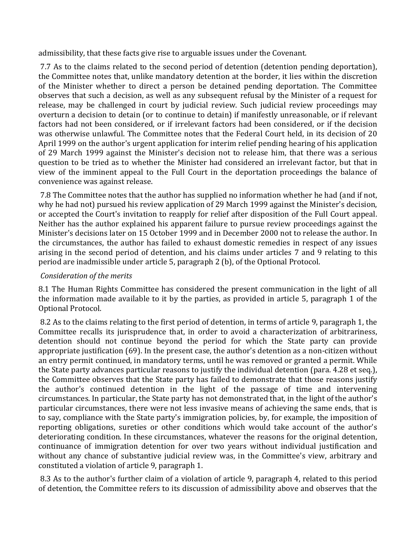admissibility, that these facts give rise to arguable issues under the Covenant.

7.7 As to the claims related to the second period of detention (detention pending deportation), the Committee notes that, unlike mandatory detention at the border, it lies within the discretion of the Minister whether to direct a person be detained pending deportation. The Committee observes that such a decision, as well as any subsequent refusal by the Minister of a request for release, may be challenged in court by judicial review. Such judicial review proceedings may overturn a decision to detain (or to continue to detain) if manifestly unreasonable, or if relevant factors had not been considered, or if irrelevant factors had been considered, or if the decision was otherwise unlawful. The Committee notes that the Federal Court held, in its decision of 20 April 1999 on the author's urgent application for interim relief pending hearing of his application of 29 March 1999 against the Minister's decision not to release him, that there was a serious question to be tried as to whether the Minister had considered an irrelevant factor, but that in view of the imminent appeal to the Full Court in the deportation proceedings the balance of convenience was against release.

7.8 The Committee notes that the author has supplied no information whether he had (and if not, why he had not) pursued his review application of 29 March 1999 against the Minister's decision, or accepted the Court's invitation to reapply for relief after disposition of the Full Court appeal. Neither has the author explained his apparent failure to pursue review proceedings against the Minister's decisions later on 15 October 1999 and in December 2000 not to release the author. In the circumstances, the author has failed to exhaust domestic remedies in respect of any issues arising in the second period of detention, and his claims under articles 7 and 9 relating to this period are inadmissible under article 5, paragraph 2 (b), of the Optional Protocol.

# *Consideration of the merits*

8.1 The Human Rights Committee has considered the present communication in the light of all the information made available to it by the parties, as provided in article  $5$ , paragraph 1 of the Optional Protocol.

8.2 As to the claims relating to the first period of detention, in terms of article 9, paragraph 1, the Committee recalls its jurisprudence that, in order to avoid a characterization of arbitrariness, detention should not continue beyond the period for which the State party can provide appropriate justification  $(69)$ . In the present case, the author's detention as a non-citizen without an entry permit continued, in mandatory terms, until he was removed or granted a permit. While the State party advances particular reasons to justify the individual detention (para. 4.28 et seq.), the Committee observes that the State party has failed to demonstrate that those reasons justify the author's continued detention in the light of the passage of time and intervening circumstances. In particular, the State party has not demonstrated that, in the light of the author's particular circumstances, there were not less invasive means of achieving the same ends, that is to say, compliance with the State party's immigration policies, by, for example, the imposition of reporting obligations, sureties or other conditions which would take account of the author's deteriorating condition. In these circumstances, whatever the reasons for the original detention, continuance of immigration detention for over two years without individual justification and without any chance of substantive judicial review was, in the Committee's view, arbitrary and constituted a violation of article 9, paragraph 1.

8.3 As to the author's further claim of a violation of article 9, paragraph 4, related to this period of detention, the Committee refers to its discussion of admissibility above and observes that the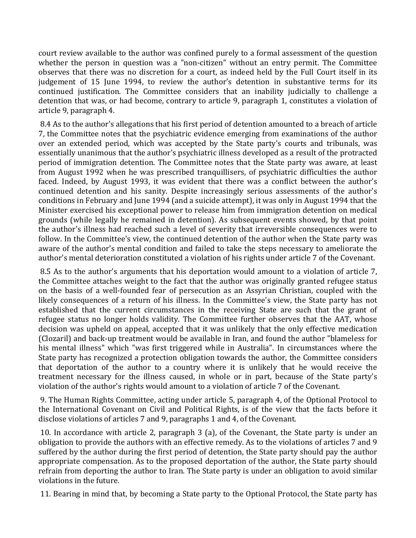court review available to the author was confined purely to a formal assessment of the question whether the person in question was a "non-citizen" without an entry permit. The Committee observes that there was no discretion for a court, as indeed held by the Full Court itself in its judgement of 15 June 1994, to review the author's detention in substantive terms for its continued iustification. The Committee considers that an inability judicially to challenge a detention that was, or had become, contrary to article 9, paragraph 1, constitutes a violation of article 9, paragraph 4.

8.4 As to the author's allegations that his first period of detention amounted to a breach of article 7, the Committee notes that the psychiatric evidence emerging from examinations of the author over an extended period, which was accepted by the State party's courts and tribunals, was essentially unanimous that the author's psychiatric illness developed as a result of the protracted period of immigration detention. The Committee notes that the State party was aware, at least from August 1992 when he was prescribed tranquillisers, of psychiatric difficulties the author faced. Indeed, by August 1993, it was evident that there was a conflict between the author's continued detention and his sanity. Despite increasingly serious assessments of the author's conditions in February and June 1994 (and a suicide attempt), it was only in August 1994 that the Minister exercised his exceptional power to release him from immigration detention on medical grounds (while legally he remained in detention). As subsequent events showed, by that point the author's illness had reached such a level of severity that irreversible consequences were to follow. In the Committee's view, the continued detention of the author when the State party was aware of the author's mental condition and failed to take the steps necessary to ameliorate the author's mental deterioration constituted a violation of his rights under article 7 of the Covenant.

8.5 As to the author's arguments that his deportation would amount to a violation of article 7, the Committee attaches weight to the fact that the author was originally granted refugee status on the basis of a well-founded fear of persecution as an Assyrian Christian, coupled with the likely consequences of a return of his illness. In the Committee's view, the State party has not established that the current circumstances in the receiving State are such that the grant of refugee status no longer holds validity. The Committee further observes that the AAT, whose decision was upheld on appeal, accepted that it was unlikely that the only effective medication (Clozaril) and back-up treatment would be available in Iran, and found the author "blameless for his mental illness" which "was first triggered while in Australia". In circumstances where the State party has recognized a protection obligation towards the author, the Committee considers that deportation of the author to a country where it is unlikely that he would receive the treatment necessary for the illness caused, in whole or in part, because of the State party's violation of the author's rights would amount to a violation of article 7 of the Covenant.

9. The Human Rights Committee, acting under article 5, paragraph 4, of the Optional Protocol to the International Covenant on Civil and Political Rights, is of the view that the facts before it disclose violations of articles 7 and 9, paragraphs 1 and 4, of the Covenant.

10. In accordance with article 2, paragraph 3 (a), of the Covenant, the State party is under an obligation to provide the authors with an effective remedy. As to the violations of articles 7 and 9 suffered by the author during the first period of detention, the State party should pay the author appropriate compensation. As to the proposed deportation of the author, the State party should refrain from deporting the author to Iran. The State party is under an obligation to avoid similar violations in the future.

11. Bearing in mind that, by becoming a State party to the Optional Protocol, the State party has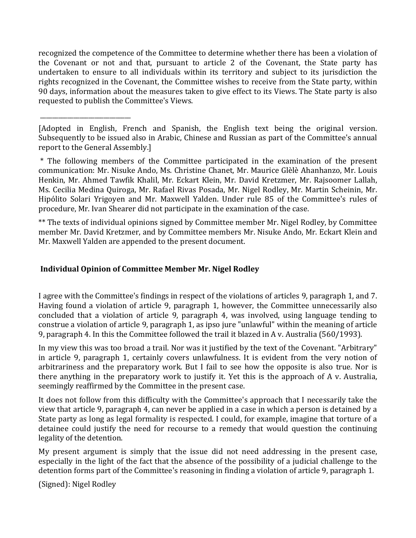recognized the competence of the Committee to determine whether there has been a violation of the Covenant or not and that, pursuant to article 2 of the Covenant, the State party has undertaken to ensure to all individuals within its territory and subject to its jurisdiction the rights recognized in the Covenant, the Committee wishes to receive from the State party, within 90 days, information about the measures taken to give effect to its Views. The State party is also requested to publish the Committee's Views.

\* The following members of the Committee participated in the examination of the present communication: Mr. Nisuke Ando, Ms. Christine Chanet, Mr. Maurice Glèlè Ahanhanzo, Mr. Louis Henkin, Mr. Ahmed Tawfik Khalil, Mr. Eckart Klein, Mr. David Kretzmer, Mr. Rajsoomer Lallah, Ms. Cecilia Medina Quiroga, Mr. Rafael Rivas Posada, Mr. Nigel Rodley, Mr. Martin Scheinin, Mr. Hipólito Solari Yrigoyen and Mr. Maxwell Yalden. Under rule 85 of the Committee's rules of procedure, Mr. Ivan Shearer did not participate in the examination of the case.

\*\* The texts of individual opinions signed by Committee member Mr. Nigel Rodley, by Committee member Mr. David Kretzmer, and by Committee members Mr. Nisuke Ando, Mr. Eckart Klein and Mr. Maxwell Yalden are appended to the present document.

# **Individual Opinion of Committee Member Mr. Nigel Rodley**

I agree with the Committee's findings in respect of the violations of articles 9, paragraph 1, and 7. Having found a violation of article 9, paragraph 1, however, the Committee unnecessarily also concluded that a violation of article 9, paragraph 4, was involved, using language tending to construe a violation of article 9, paragraph 1, as ipso jure "unlawful" within the meaning of article 9, paragraph 4. In this the Committee followed the trail it blazed in A v. Australia (560/1993).

In my view this was too broad a trail. Nor was it justified by the text of the Covenant. "Arbitrary" in article 9, paragraph 1, certainly covers unlawfulness. It is evident from the very notion of arbitrariness and the preparatory work. But I fail to see how the opposite is also true. Nor is there anything in the preparatory work to justify it. Yet this is the approach of A v. Australia, seemingly reaffirmed by the Committee in the present case.

It does not follow from this difficulty with the Committee's approach that I necessarily take the view that article 9, paragraph 4, can never be applied in a case in which a person is detained by a State party as long as legal formality is respected. I could, for example, imagine that torture of a detainee could justify the need for recourse to a remedy that would question the continuing legality of the detention.

My present argument is simply that the issue did not need addressing in the present case, especially in the light of the fact that the absence of the possibility of a judicial challenge to the detention forms part of the Committee's reasoning in finding a violation of article 9, paragraph 1.

(Signed): Nigel Rodley

\_\_\_\_\_\_\_\_\_\_\_\_\_\_\_\_\_\_\_\_\_\_\_\_\_\_\_\_\_\_

<sup>[</sup>Adopted in English, French and Spanish, the English text being the original version. Subsequently to be issued also in Arabic, Chinese and Russian as part of the Committee's annual report to the General Assembly.]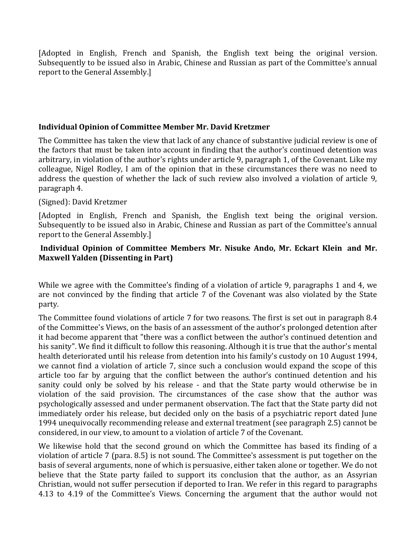[Adopted in English, French and Spanish, the English text being the original version. Subsequently to be issued also in Arabic, Chinese and Russian as part of the Committee's annual report to the General Assembly.]

### **Individual Opinion of Committee Member Mr. David Kretzmer**

The Committee has taken the view that lack of any chance of substantive judicial review is one of the factors that must be taken into account in finding that the author's continued detention was arbitrary, in violation of the author's rights under article 9, paragraph 1, of the Covenant. Like my colleague, Nigel Rodley, I am of the opinion that in these circumstances there was no need to address the question of whether the lack of such review also involved a violation of article 9, paragraph 4.

#### (Signed): David Kretzmer

[Adopted in English, French and Spanish, the English text being the original version. Subsequently to be issued also in Arabic, Chinese and Russian as part of the Committee's annual report to the General Assembly.]

### Individual Opinion of Committee Members Mr. Nisuke Ando, Mr. Eckart Klein and Mr. **Maxwell Yalden (Dissenting in Part)**

While we agree with the Committee's finding of a violation of article 9, paragraphs 1 and 4, we are not convinced by the finding that article 7 of the Covenant was also violated by the State party.

The Committee found violations of article 7 for two reasons. The first is set out in paragraph 8.4 of the Committee's Views, on the basis of an assessment of the author's prolonged detention after it had become apparent that "there was a conflict between the author's continued detention and his sanity". We find it difficult to follow this reasoning. Although it is true that the author's mental health deteriorated until his release from detention into his family's custody on 10 August 1994, we cannot find a violation of article 7, since such a conclusion would expand the scope of this article too far by arguing that the conflict between the author's continued detention and his sanity could only be solved by his release - and that the State party would otherwise be in violation of the said provision. The circumstances of the case show that the author was psychologically assessed and under permanent observation. The fact that the State party did not immediately order his release, but decided only on the basis of a psychiatric report dated June 1994 unequivocally recommending release and external treatment (see paragraph 2.5) cannot be considered, in our view, to amount to a violation of article 7 of the Covenant.

We likewise hold that the second ground on which the Committee has based its finding of a violation of article 7 (para. 8.5) is not sound. The Committee's assessment is put together on the basis of several arguments, none of which is persuasive, either taken alone or together. We do not believe that the State party failed to support its conclusion that the author, as an Assyrian Christian, would not suffer persecution if deported to Iran. We refer in this regard to paragraphs 4.13 to 4.19 of the Committee's Views. Concerning the argument that the author would not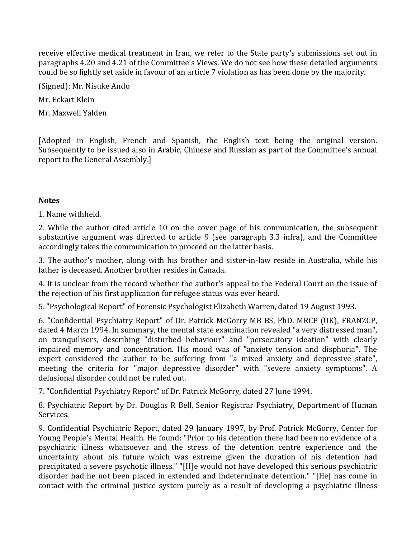receive effective medical treatment in Iran, we refer to the State party's submissions set out in paragraphs 4.20 and 4.21 of the Committee's Views. We do not see how these detailed arguments could be so lightly set aside in favour of an article 7 violation as has been done by the majority.

(Signed): Mr. Nisuke Ando

Mr. Eckart Klein

Mr. Maxwell Yalden

[Adopted in English, French and Spanish, the English text being the original version. Subsequently to be issued also in Arabic, Chinese and Russian as part of the Committee's annual report to the General Assembly.]

#### **Notes**

1. Name withheld.

2. While the author cited article 10 on the cover page of his communication, the subsequent substantive argument was directed to article 9 (see paragraph  $3.3$  infra), and the Committee accordingly takes the communication to proceed on the latter basis.

3. The author's mother, along with his brother and sister-in-law reside in Australia, while his father is deceased. Another brother resides in Canada.

4. It is unclear from the record whether the author's appeal to the Federal Court on the issue of the rejection of his first application for refugee status was ever heard.

5. "Psychological Report" of Forensic Psychologist Elizabeth Warren, dated 19 August 1993.

6. "Confidential Psychiatry Report" of Dr. Patrick McGorry MB BS, PhD, MRCP (UK), FRANZCP, dated 4 March 1994. In summary, the mental state examination revealed "a very distressed man", on tranquilisers, describing "disturbed behaviour" and "persecutory ideation" with clearly impaired memory and concentration. His mood was of "anxiety tension and disphoria". The expert considered the author to be suffering from "a mixed anxiety and depressive state", meeting the criteria for "major depressive disorder" with "severe anxiety symptoms". A delusional disorder could not be ruled out.

7. "Confidential Psychiatry Report" of Dr. Patrick McGorry, dated 27 June 1994.

8. Psychiatric Report by Dr. Douglas R Bell, Senior Registrar Psychiatry, Department of Human Services.

9. Confidential Psychiatric Report, dated 29 January 1997, by Prof. Patrick McGorry, Center for Young People's Mental Health. He found: "Prior to his detention there had been no evidence of a psychiatric illness whatsoever and the stress of the detention centre experience and the uncertainty about his future which was extreme given the duration of his detention had precipitated a severe psychotic illness." "[H]e would not have developed this serious psychiatric disorder had he not been placed in extended and indeterminate detention." "[He] has come in contact with the criminal justice system purely as a result of developing a psychiatric illness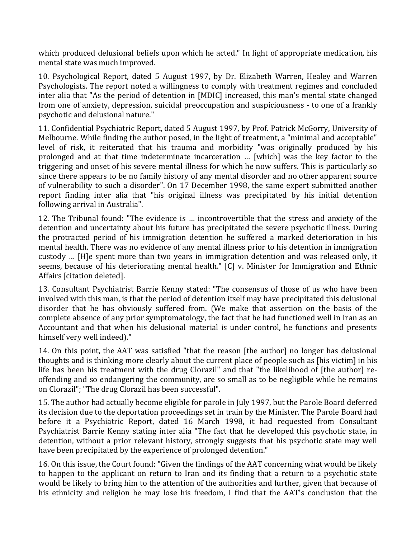which produced delusional beliefs upon which he acted." In light of appropriate medication, his mental state was much improved.

10. Psychological Report, dated 5 August 1997, by Dr. Elizabeth Warren, Healey and Warren Psychologists. The report noted a willingness to comply with treatment regimes and concluded inter alia that "As the period of detention in [MDIC] increased, this man's mental state changed from one of anxiety, depression, suicidal preoccupation and suspiciousness - to one of a frankly psychotic and delusional nature."

11. Confidential Psychiatric Report, dated 5 August 1997, by Prof. Patrick McGorry, University of Melbourne. While finding the author posed, in the light of treatment, a "minimal and acceptable" level of risk, it reiterated that his trauma and morbidity "was originally produced by his prolonged and at that time indeterminate incarceration ... [which] was the key factor to the triggering and onset of his severe mental illness for which he now suffers. This is particularly so since there appears to be no family history of any mental disorder and no other apparent source of vulnerability to such a disorder". On 17 December 1998, the same expert submitted another report finding inter alia that "his original illness was precipitated by his initial detention following arrival in Australia".

12. The Tribunal found: "The evidence is ... incontrovertible that the stress and anxiety of the detention and uncertainty about his future has precipitated the severe psychotic illness. During the protracted period of his immigration detention he suffered a marked deterioration in his mental health. There was no evidence of any mental illness prior to his detention in immigration custody ... [H]e spent more than two years in immigration detention and was released only, it seems, because of his deteriorating mental health." [C] v. Minister for Immigration and Ethnic Affairs [citation deleted].

13. Consultant Psychiatrist Barrie Kenny stated: "The consensus of those of us who have been involved with this man, is that the period of detention itself may have precipitated this delusional disorder that he has obviously suffered from. (We make that assertion on the basis of the complete absence of any prior symptomatology, the fact that he had functioned well in Iran as an Accountant and that when his delusional material is under control, he functions and presents himself very well indeed)."

14. On this point, the AAT was satisfied "that the reason [the author] no longer has delusional thoughts and is thinking more clearly about the current place of people such as [his victim] in his life has been his treatment with the drug Clorazil" and that "the likelihood of [the author] reoffending and so endangering the community, are so small as to be negligible while he remains on Clorazil"; "The drug Clorazil has been successful".

15. The author had actually become eligible for parole in July 1997, but the Parole Board deferred its decision due to the deportation proceedings set in train by the Minister. The Parole Board had before it a Psychiatric Report, dated 16 March 1998, it had requested from Consultant Psychiatrist Barrie Kenny stating inter alia "The fact that he developed this psychotic state, in detention, without a prior relevant history, strongly suggests that his psychotic state may well have been precipitated by the experience of prolonged detention."

16. On this issue, the Court found: "Given the findings of the AAT concerning what would be likely to happen to the applicant on return to Iran and its finding that a return to a psychotic state would be likely to bring him to the attention of the authorities and further, given that because of his ethnicity and religion he may lose his freedom, I find that the AAT's conclusion that the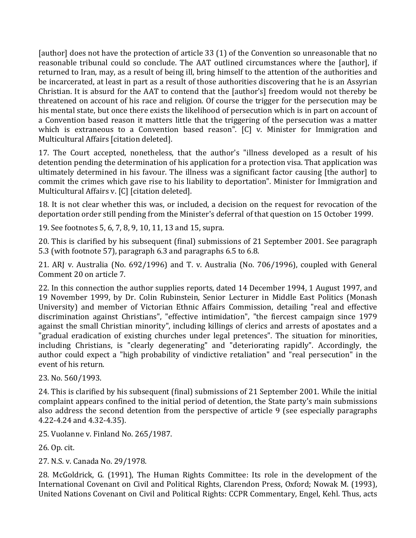[author] does not have the protection of article 33 (1) of the Convention so unreasonable that no reasonable tribunal could so conclude. The AAT outlined circumstances where the [author], if returned to Iran, may, as a result of being ill, bring himself to the attention of the authorities and be incarcerated, at least in part as a result of those authorities discovering that he is an Assyrian Christian. It is absurd for the AAT to contend that the [author's] freedom would not thereby be threatened on account of his race and religion. Of course the trigger for the persecution may be his mental state, but once there exists the likelihood of persecution which is in part on account of a Convention based reason it matters little that the triggering of the persecution was a matter which is extraneous to a Convention based reason". [C] v. Minister for Immigration and Multicultural Affairs [citation deleted].

17. The Court accepted, nonetheless, that the author's "illness developed as a result of his detention pending the determination of his application for a protection visa. That application was ultimately determined in his favour. The illness was a significant factor causing [the author] to commit the crimes which gave rise to his liability to deportation". Minister for Immigration and Multicultural Affairs v. [C] [citation deleted].

18. It is not clear whether this was, or included, a decision on the request for revocation of the deportation order still pending from the Minister's deferral of that question on 15 October 1999.

19. See footnotes 5, 6, 7, 8, 9, 10, 11, 13 and 15, supra.

20. This is clarified by his subsequent (final) submissions of 21 September 2001. See paragraph 5.3 (with footnote 57), paragraph  $6.3$  and paragraphs  $6.5$  to  $6.8$ .

21. ARJ v. Australia (No.  $692/1996$ ) and T. v. Australia (No.  $706/1996$ ), coupled with General Comment 20 on article 7.

22. In this connection the author supplies reports, dated 14 December 1994, 1 August 1997, and 19 November 1999, by Dr. Colin Rubinstein, Senior Lecturer in Middle East Politics (Monash University) and member of Victorian Ethnic Affairs Commission, detailing "real and effective discrimination against Christians", "effective intimidation", "the fiercest campaign since 1979 against the small Christian minority", including killings of clerics and arrests of apostates and a "gradual eradication of existing churches under legal pretences". The situation for minorities, including Christians, is "clearly degenerating" and "deteriorating rapidly". Accordingly, the author could expect a "high probability of vindictive retaliation" and "real persecution" in the event of his return.

23. No. 560/1993.

24. This is clarified by his subsequent (final) submissions of 21 September 2001. While the initial complaint appears confined to the initial period of detention, the State party's main submissions also address the second detention from the perspective of article 9 (see especially paragraphs 4.22-4.24 and 4.32-4.35).

25. Vuolanne v. Finland No. 265/1987.

26. Op. cit.

27. N.S. v. Canada No. 29/1978.

28. McGoldrick, G. (1991), The Human Rights Committee: Its role in the development of the International Covenant on Civil and Political Rights, Clarendon Press, Oxford; Nowak M. (1993), United Nations Covenant on Civil and Political Rights: CCPR Commentary, Engel, Kehl. Thus, acts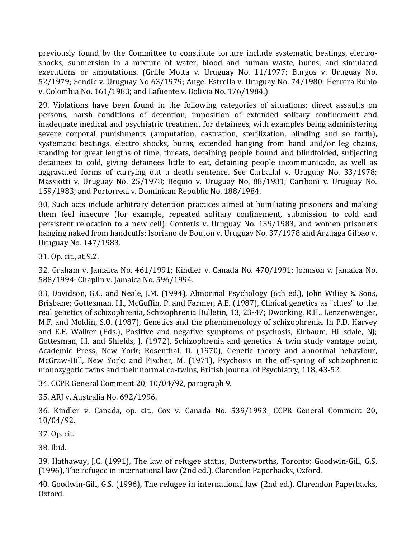previously found by the Committee to constitute torture include systematic beatings, electroshocks, submersion in a mixture of water, blood and human waste, burns, and simulated executions or amputations. (Grille Motta v. Uruguay No. 11/1977; Burgos v. Uruguay No. 52/1979; Sendic v. Uruguay No 63/1979; Angel Estrella v. Uruguay No. 74/1980; Herrera Rubio v. Colombia No.  $161/1983$ ; and Lafuente v. Bolivia No.  $176/1984$ .)

29. Violations have been found in the following categories of situations: direct assaults on persons, harsh conditions of detention, imposition of extended solitary confinement and inadequate medical and psychiatric treatment for detainees, with examples being administering severe corporal punishments (amputation, castration, sterilization, blinding and so forth), systematic beatings, electro shocks, burns, extended hanging from hand and/or leg chains, standing for great lengths of time, threats, detaining people bound and blindfolded, subjecting detainees to cold, giving detainees little to eat, detaining people incommunicado, as well as aggravated forms of carrying out a death sentence. See Carballal v. Uruguay No. 33/1978; Massiotti v. Uruguay No. 25/1978; Bequio v. Uruguay No. 88/1981; Cariboni v. Uruguay No. 159/1983; and Portorreal v. Dominican Republic No. 188/1984.

30. Such acts include arbitrary detention practices aimed at humiliating prisoners and making them feel insecure (for example, repeated solitary confinement, submission to cold and persistent relocation to a new cell): Conteris v. Uruguay No. 139/1983, and women prisoners hanging naked from handcuffs: Isoriano de Bouton v. Uruguay No. 37/1978 and Arzuaga Gilbao v. Uruguay No. 147/1983.

31. Op. cit., at 9.2.

32. Graham v. Jamaica No.  $461/1991$ ; Kindler v. Canada No.  $470/1991$ ; Johnson v. Jamaica No. 588/1994; Chaplin v. Jamaica No. 596/1994.

33. Davidson, G.C. and Neale, J.M. (1994), Abnormal Psychology (6th ed.), John Wiliey & Sons, Brisbane; Gottesman, I.I., McGuffin, P. and Farmer, A.E. (1987), Clinical genetics as "clues" to the real genetics of schizophrenia, Schizophrenia Bulletin, 13, 23-47; Dworking, R.H., Lenzenwenger, M.F. and Moldin, S.O. (1987), Genetics and the phenomenology of schizophrenia. In P.D. Harvey and E.F. Walker (Eds.), Positive and negative symptoms of psychosis, Elrbaum, Hillsdale, NJ; Gottesman, I.I. and Shields, J. (1972), Schizophrenia and genetics: A twin study vantage point, Academic Press, New York; Rosenthal, D. (1970), Genetic theory and abnormal behaviour, McGraw-Hill, New York; and Fischer, M. (1971), Psychosis in the off-spring of schizophrenic monozygotic twins and their normal co-twins, British Journal of Psychiatry, 118, 43-52.

34. CCPR General Comment 20; 10/04/92, paragraph 9.

35. ARJ v. Australia No. 692/1996.

36. Kindler v. Canada, op. cit., Cox v. Canada No. 539/1993; CCPR General Comment 20, 10/04/92.

37. Op. cit.

38. Ibid.

39. Hathaway, J.C. (1991), The law of refugee status, Butterworths, Toronto; Goodwin-Gill, G.S. (1996), The refugee in international law (2nd ed.), Clarendon Paperbacks, Oxford.

40. Goodwin-Gill, G.S. (1996), The refugee in international law (2nd ed.), Clarendon Paperbacks, Oxford.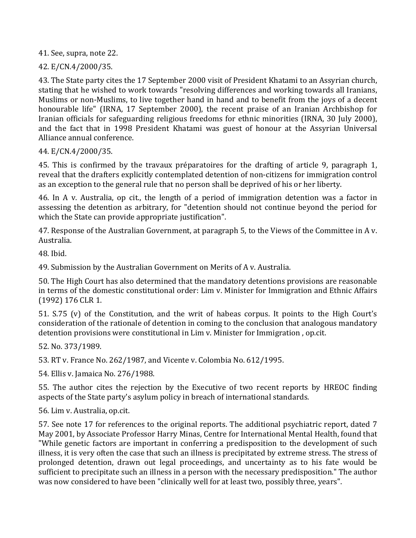#### 41. See, supra, note 22.

# 42. E/CN.4/2000/35.

43. The State party cites the 17 September 2000 visit of President Khatami to an Assyrian church, stating that he wished to work towards "resolving differences and working towards all Iranians, Muslims or non-Muslims, to live together hand in hand and to benefit from the joys of a decent honourable life" (IRNA, 17 September 2000), the recent praise of an Iranian Archbishop for Iranian officials for safeguarding religious freedoms for ethnic minorities (IRNA, 30 July 2000), and the fact that in 1998 President Khatami was guest of honour at the Assyrian Universal Alliance annual conference.

#### 44. E/CN.4/2000/35.

45. This is confirmed by the travaux préparatoires for the drafting of article 9, paragraph 1, reveal that the drafters explicitly contemplated detention of non-citizens for immigration control as an exception to the general rule that no person shall be deprived of his or her liberty.

46. In A v. Australia, op cit., the length of a period of immigration detention was a factor in assessing the detention as arbitrary, for "detention should not continue beyond the period for which the State can provide appropriate justification".

47. Response of the Australian Government, at paragraph 5, to the Views of the Committee in A v. Australia.

48. Ibid.

49. Submission by the Australian Government on Merits of A v. Australia.

50. The High Court has also determined that the mandatory detentions provisions are reasonable in terms of the domestic constitutional order: Lim v. Minister for Immigration and Ethnic Affairs (1992) 176 CLR 1.

51. S.75 (v) of the Constitution, and the writ of habeas corpus. It points to the High Court's consideration of the rationale of detention in coming to the conclusion that analogous mandatory detention provisions were constitutional in Lim v. Minister for Immigration, op.cit.

52. No. 373/1989.

53. RT v. France No. 262/1987, and Vicente v. Colombia No. 612/1995.

54. Ellis v. Jamaica No. 276/1988.

55. The author cites the rejection by the Executive of two recent reports by HREOC finding aspects of the State party's asylum policy in breach of international standards.

56. Lim v. Australia, op.cit.

57. See note 17 for references to the original reports. The additional psychiatric report, dated 7 May 2001, by Associate Professor Harry Minas, Centre for International Mental Health, found that "While genetic factors are important in conferring a predisposition to the development of such illness, it is very often the case that such an illness is precipitated by extreme stress. The stress of prolonged detention, drawn out legal proceedings, and uncertainty as to his fate would be sufficient to precipitate such an illness in a person with the necessary predisposition." The author was now considered to have been "clinically well for at least two, possibly three, years".